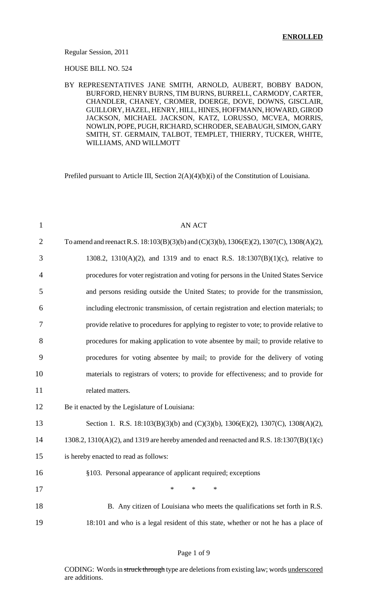#### Regular Session, 2011

HOUSE BILL NO. 524

### BY REPRESENTATIVES JANE SMITH, ARNOLD, AUBERT, BOBBY BADON, BURFORD, HENRY BURNS, TIM BURNS, BURRELL, CARMODY, CARTER, CHANDLER, CHANEY, CROMER, DOERGE, DOVE, DOWNS, GISCLAIR, GUILLORY, HAZEL, HENRY, HILL, HINES, HOFFMANN, HOWARD, GIROD JACKSON, MICHAEL JACKSON, KATZ, LORUSSO, MCVEA, MORRIS, NOWLIN, POPE, PUGH, RICHARD, SCHRODER, SEABAUGH, SIMON, GARY SMITH, ST. GERMAIN, TALBOT, TEMPLET, THIERRY, TUCKER, WHITE, WILLIAMS, AND WILLMOTT

Prefiled pursuant to Article III, Section 2(A)(4)(b)(i) of the Constitution of Louisiana.

| $\mathbf{1}$   | <b>AN ACT</b>                                                                                           |
|----------------|---------------------------------------------------------------------------------------------------------|
| $\overline{2}$ | To amend and reenact R.S. $18:103(B)(3)(b)$ and $(C)(3)(b)$ , $1306(E)(2)$ , $1307(C)$ , $1308(A)(2)$ , |
| 3              | 1308.2, 1310(A)(2), and 1319 and to enact R.S. 18:1307(B)(1)(c), relative to                            |
| 4              | procedures for voter registration and voting for persons in the United States Service                   |
| 5              | and persons residing outside the United States; to provide for the transmission,                        |
| 6              | including electronic transmission, of certain registration and election materials; to                   |
| 7              | provide relative to procedures for applying to register to vote; to provide relative to                 |
| 8              | procedures for making application to vote absentee by mail; to provide relative to                      |
| 9              | procedures for voting absentee by mail; to provide for the delivery of voting                           |
| 10             | materials to registrars of voters; to provide for effectiveness; and to provide for                     |
| 11             | related matters.                                                                                        |
| 12             | Be it enacted by the Legislature of Louisiana:                                                          |
| 13             | Section 1. R.S. 18:103(B)(3)(b) and (C)(3)(b), 1306(E)(2), 1307(C), 1308(A)(2),                         |
| 14             | 1308.2, 1310(A)(2), and 1319 are hereby amended and reenacted and R.S. 18:1307(B)(1)(c)                 |
| 15             | is hereby enacted to read as follows:                                                                   |
| 16             | §103. Personal appearance of applicant required; exceptions                                             |
| 17             | $\ast$<br>*<br>$\ast$                                                                                   |
| 18             | B. Any citizen of Louisiana who meets the qualifications set forth in R.S.                              |
| 19             | 18:101 and who is a legal resident of this state, whether or not he has a place of                      |
|                |                                                                                                         |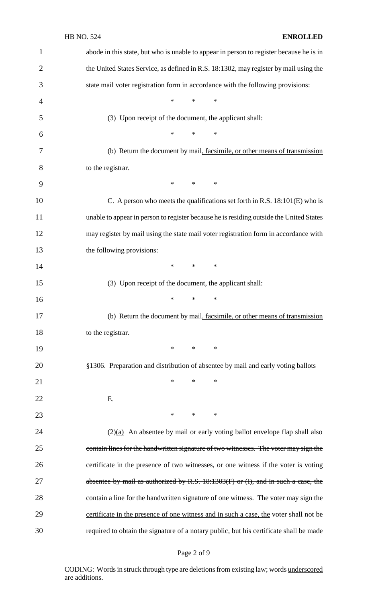## HB NO. 524 **ENROLLED**

| $\mathbf{1}$   | abode in this state, but who is unable to appear in person to register because he is in |
|----------------|-----------------------------------------------------------------------------------------|
| $\overline{2}$ | the United States Service, as defined in R.S. 18:1302, may register by mail using the   |
| 3              | state mail voter registration form in accordance with the following provisions:         |
| 4              | $\ast$<br>$\ast$<br>$\ast$                                                              |
| 5              | (3) Upon receipt of the document, the applicant shall:                                  |
| 6              | $\ast$<br>$\ast$<br>$\ast$                                                              |
| 7              | (b) Return the document by mail, facsimile, or other means of transmission              |
| 8              | to the registrar.                                                                       |
| 9              | $\ast$<br>$\ast$<br>$\ast$                                                              |
| 10             | C. A person who meets the qualifications set forth in R.S. 18:101(E) who is             |
| 11             | unable to appear in person to register because he is residing outside the United States |
| 12             | may register by mail using the state mail voter registration form in accordance with    |
| 13             | the following provisions:                                                               |
| 14             | $\ast$<br>$\ast$<br>$\ast$                                                              |
| 15             | (3) Upon receipt of the document, the applicant shall:                                  |
| 16             | $\ast$<br>$\ast$<br>∗                                                                   |
| 17             | (b) Return the document by mail, facsimile, or other means of transmission              |
| 18             | to the registrar.                                                                       |
| 19             | $\ast$<br>$*$ and $*$<br>∗                                                              |
| 20             | §1306. Preparation and distribution of absentee by mail and early voting ballots        |
| 21             | $\ast$<br>$\ast$<br>∗                                                                   |
| 22             | Ε.                                                                                      |
| 23             | $*$<br>$\ast$<br>∗                                                                      |
| 24             | $(2)(a)$ An absentee by mail or early voting ballot envelope flap shall also            |
| 25             | contain lines for the handwritten signature of two witnesses. The voter may sign the    |
| 26             | certificate in the presence of two witnesses, or one witness if the voter is voting     |
| 27             | absentee by mail as authorized by R.S. 18:1303(F) or (I), and in such a case, the       |
| 28             | contain a line for the handwritten signature of one witness. The voter may sign the     |
| 29             | certificate in the presence of one witness and in such a case, the voter shall not be   |
| 30             | required to obtain the signature of a notary public, but his certificate shall be made  |

Page 2 of 9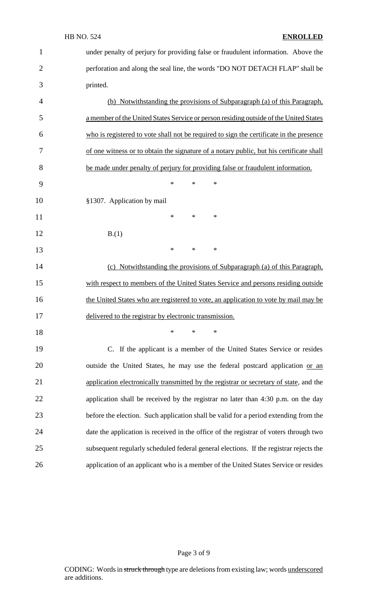| $\mathbf{1}$   | under penalty of perjury for providing false or fraudulent information. Above the       |
|----------------|-----------------------------------------------------------------------------------------|
| $\overline{2}$ | perforation and along the seal line, the words "DO NOT DETACH FLAP" shall be            |
| 3              | printed.                                                                                |
| 4              | (b) Notwithstanding the provisions of Subparagraph (a) of this Paragraph,               |
| 5              | a member of the United States Service or person residing outside of the United States   |
| 6              | who is registered to vote shall not be required to sign the certificate in the presence |
| 7              | of one witness or to obtain the signature of a notary public, but his certificate shall |
| 8              | be made under penalty of perjury for providing false or fraudulent information.         |
| 9              | $\ast$<br>$\ast$<br>$\ast$                                                              |
| 10             | §1307. Application by mail                                                              |
| 11             | $\ast$<br>*<br>∗                                                                        |
| 12             | B(1)                                                                                    |
| 13             | $\ast$<br>$\ast$<br>∗                                                                   |
| 14             | (c) Notwithstanding the provisions of Subparagraph (a) of this Paragraph,               |
| 15             | with respect to members of the United States Service and persons residing outside       |
| 16             | the United States who are registered to vote, an application to vote by mail may be     |
| 17             | delivered to the registrar by electronic transmission.                                  |
| 18             | $\ast$<br>$\ast$<br>∗                                                                   |
| 19             | C. If the applicant is a member of the United States Service or resides                 |
| 20             | outside the United States, he may use the federal postcard application or an            |
| 21             | application electronically transmitted by the registrar or secretary of state, and the  |
| 22             | application shall be received by the registrar no later than 4:30 p.m. on the day       |
| 23             | before the election. Such application shall be valid for a period extending from the    |
| 24             | date the application is received in the office of the registrar of voters through two   |
|                |                                                                                         |
| 25             | subsequent regularly scheduled federal general elections. If the registrar rejects the  |

# Page 3 of 9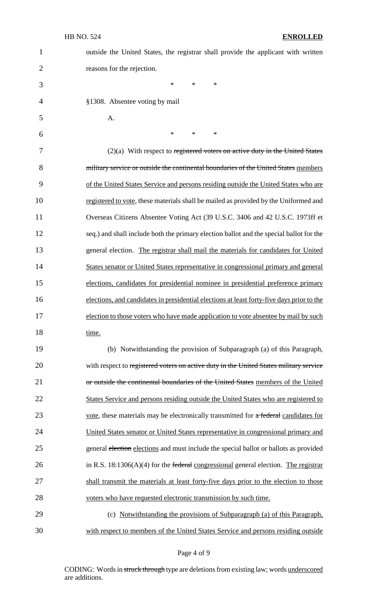| $\mathbf{1}$   | outside the United States, the registrar shall provide the applicant with written         |
|----------------|-------------------------------------------------------------------------------------------|
| $\overline{2}$ | reasons for the rejection.                                                                |
| 3              | *<br>$\ast$<br>$\ast$                                                                     |
| 4              | §1308. Absentee voting by mail                                                            |
| 5              | A.                                                                                        |
| 6              | $\ast$<br>$\ast$<br>$\ast$                                                                |
| 7              | $(2)(a)$ With respect to registered voters on active duty in the United States            |
| 8              | military service or outside the continental boundaries of the United States members       |
| 9              | of the United States Service and persons residing outside the United States who are       |
| 10             | registered to vote, these materials shall be mailed as provided by the Uniformed and      |
| 11             | Overseas Citizens Absentee Voting Act (39 U.S.C. 3406 and 42 U.S.C. 1973ff et             |
| 12             | seq.) and shall include both the primary election ballot and the special ballot for the   |
| 13             | general election. The registrar shall mail the materials for candidates for United        |
| 14             | States senator or United States representative in congressional primary and general       |
| 15             | elections, candidates for presidential nominee in presidential preference primary         |
| 16             | elections, and candidates in presidential elections at least forty-five days prior to the |
| 17             | election to those voters who have made application to vote absentee by mail by such       |
| 18             | time.                                                                                     |
| 19             | (b) Notwithstanding the provision of Subparagraph (a) of this Paragraph,                  |
| 20             | with respect to registered voters on active duty in the United States military service    |
| 21             | or outside the continental boundaries of the United States members of the United          |
| 22             | States Service and persons residing outside the United States who are registered to       |
| 23             | vote, these materials may be electronically transmitted for a federal candidates for      |
| 24             | United States senator or United States representative in congressional primary and        |
| 25             | general election elections and must include the special ballot or ballots as provided     |
| 26             | in R.S. $18:1306(A)(4)$ for the federal congressional general election. The registrar     |
| 27             | shall transmit the materials at least forty-five days prior to the election to those      |
| 28             | voters who have requested electronic transmission by such time.                           |
| 29             | (c) Notwithstanding the provisions of Subparagraph (a) of this Paragraph,                 |
| 30             | with respect to members of the United States Service and persons residing outside         |

Page 4 of 9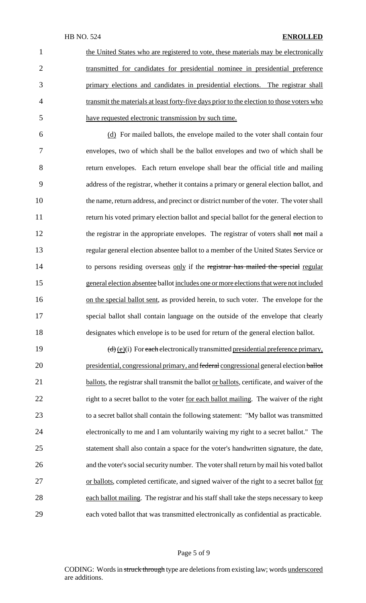the United States who are registered to vote, these materials may be electronically transmitted for candidates for presidential nominee in presidential preference primary elections and candidates in presidential elections. The registrar shall 4 transmit the materials at least forty-five days prior to the election to those voters who have requested electronic transmission by such time.

 (d) For mailed ballots, the envelope mailed to the voter shall contain four envelopes, two of which shall be the ballot envelopes and two of which shall be return envelopes. Each return envelope shall bear the official title and mailing address of the registrar, whether it contains a primary or general election ballot, and the name, return address, and precinct or district number of the voter. The voter shall return his voted primary election ballot and special ballot for the general election to 12 the registrar in the appropriate envelopes. The registrar of voters shall not mail a regular general election absentee ballot to a member of the United States Service or 14 to persons residing overseas only if the registrar has mailed the special regular general election absentee ballot includes one ormore electionsthat were not included 16 on the special ballot sent, as provided herein, to such voter. The envelope for the special ballot shall contain language on the outside of the envelope that clearly designates which envelope is to be used for return of the general election ballot.

19  $(d)$   $(e)(i)$  For each electronically transmitted presidential preference primary, 20 presidential, congressional primary, and federal congressional general election ballot 21 ballots, the registrar shall transmit the ballot or ballots, certificate, and waiver of the 22 right to a secret ballot to the voter <u>for each ballot mailing</u>. The waiver of the right 23 to a secret ballot shall contain the following statement: "My ballot was transmitted 24 electronically to me and I am voluntarily waiving my right to a secret ballot." The 25 statement shall also contain a space for the voter's handwritten signature, the date, 26 and the voter's social security number. The voter shall return by mail his voted ballot 27 or ballots, completed certificate, and signed waiver of the right to a secret ballot for 28 each ballot mailing. The registrar and his staff shall take the steps necessary to keep 29 each voted ballot that was transmitted electronically as confidential as practicable.

#### Page 5 of 9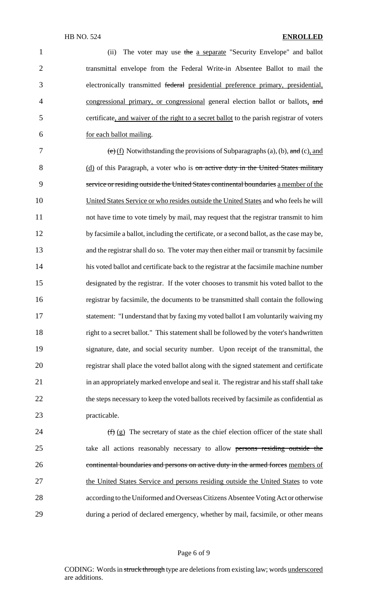1 (ii) The voter may use the a separate "Security Envelope" and ballot 2 transmittal envelope from the Federal Write-in Absentee Ballot to mail the 3 electronically transmitted federal presidential preference primary, presidential, 4 congressional primary, or congressional general election ballot or ballots, and 5 certificate, and waiver of the right to a secret ballot to the parish registrar of voters 6 for each ballot mailing.

7 (e) (f) Notwithstanding the provisions of Subparagraphs (a), (b), and (c), and 8 (d) of this Paragraph, a voter who is on active duty in the United States military service or residing outside the United States continental boundaries a member of the United States Service or who resides outside the United States and who feels he will not have time to vote timely by mail, may request that the registrar transmit to him 12 by facsimile a ballot, including the certificate, or a second ballot, as the case may be, and the registrar shall do so. The voter may then either mail or transmit by facsimile his voted ballot and certificate back to the registrar at the facsimile machine number designated by the registrar. If the voter chooses to transmit his voted ballot to the registrar by facsimile, the documents to be transmitted shall contain the following statement: "I understand that by faxing my voted ballot I am voluntarily waiving my right to a secret ballot." This statement shall be followed by the voter's handwritten signature, date, and social security number. Upon receipt of the transmittal, the registrar shall place the voted ballot along with the signed statement and certificate in an appropriately marked envelope and seal it. The registrar and his staff shall take 22 the steps necessary to keep the voted ballots received by facsimile as confidential as practicable.

24  $(f)(g)$  The secretary of state as the chief election officer of the state shall 25 take all actions reasonably necessary to allow persons residing outside the 26 continental boundaries and persons on active duty in the armed forces members of 27 the United States Service and persons residing outside the United States to vote 28 according to the Uniformed and Overseas Citizens Absentee Voting Act or otherwise 29 during a period of declared emergency, whether by mail, facsimile, or other means

#### Page 6 of 9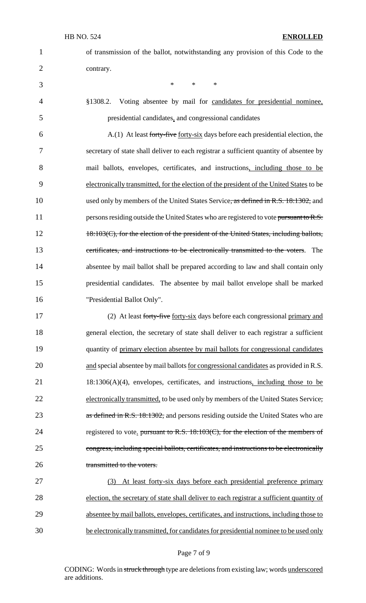|                | of transm |
|----------------|-----------|
| $\overline{2}$ | contrary. |

1 of transmission of the ballot, notwithstanding any provision of this Code to the

3  $*$  \* \* \*

4 §1308.2. Voting absentee by mail for candidates for presidential nominee, 5 presidential candidates, and congressional candidates

6 A.(1) At least forty-five <u>forty-six</u> days before each presidential election, the 7 secretary of state shall deliver to each registrar a sufficient quantity of absentee by 8 mail ballots, envelopes, certificates, and instructions, including those to be 9 electronically transmitted, for the election of the president of the United States to be 10 used only by members of the United States Service, as defined in R.S. 18:1302, and 11 persons residing outside the United States who are registered to vote pursuant to R.S. 12 18:103(C), for the election of the president of the United States, including ballots, 13 certificates, and instructions to be electronically transmitted to the voters. The 14 absentee by mail ballot shall be prepared according to law and shall contain only 15 presidential candidates. The absentee by mail ballot envelope shall be marked 16 "Presidential Ballot Only".

17 (2) At least forty-five forty-six days before each congressional primary and 18 general election, the secretary of state shall deliver to each registrar a sufficient 19 quantity of primary election absentee by mail ballots for congressional candidates 20 and special absentee by mail ballots <u>for congressional candidates</u> as provided in R.S. 21 18:1306(A)(4), envelopes, certificates, and instructions, including those to be 22 electronically transmitted, to be used only by members of the United States Service, 23 as defined in R.S. 18:1302, and persons residing outside the United States who are 24 registered to vote. pursuant to R.S. 18:103(C), for the election of the members of 25 congress, including special ballots, certificates, and instructions to be electronically 26 transmitted to the voters.

 (3) At least forty-six days before each presidential preference primary election, the secretary of state shall deliver to each registrar a sufficient quantity of absentee by mail ballots, envelopes, certificates, and instructions, including those to 30 be electronically transmitted, for candidates for presidential nominee to be used only

#### Page 7 of 9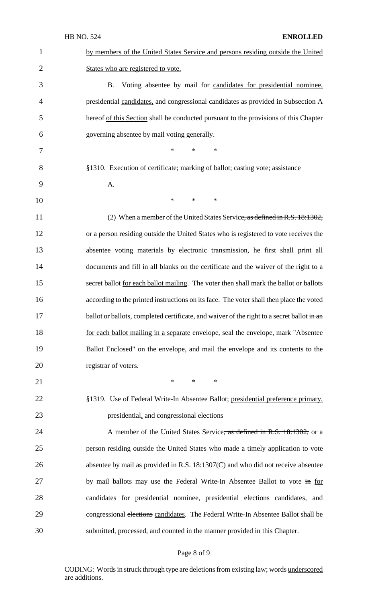|                | <b>HB NO. 524</b><br><b>ENROLLED</b>                                                       |
|----------------|--------------------------------------------------------------------------------------------|
| $\mathbf{1}$   | by members of the United States Service and persons residing outside the United            |
| $\overline{2}$ | States who are registered to vote.                                                         |
| 3              | Voting absentee by mail for candidates for presidential nominee,<br><b>B.</b>              |
| 4              | presidential candidates, and congressional candidates as provided in Subsection A          |
| 5              | hereof of this Section shall be conducted pursuant to the provisions of this Chapter       |
| 6              | governing absentee by mail voting generally.                                               |
| 7              | *<br>$\ast$<br>∗                                                                           |
| 8              | §1310. Execution of certificate; marking of ballot; casting vote; assistance               |
| 9              | A.                                                                                         |
| 10             | $\ast$<br>*<br>$*$                                                                         |
| 11             | (2) When a member of the United States Service, as defined in R.S. 18:1302,                |
| 12             | or a person residing outside the United States who is registered to vote receives the      |
| 13             | absentee voting materials by electronic transmission, he first shall print all             |
| 14             | documents and fill in all blanks on the certificate and the waiver of the right to a       |
| 15             | secret ballot for each ballot mailing. The voter then shall mark the ballot or ballots     |
| 16             | according to the printed instructions on its face. The voter shall then place the voted    |
| 17             | ballot or ballots, completed certificate, and waiver of the right to a secret ballot in an |
| 18             | for each ballot mailing in a separate envelope, seal the envelope, mark "Absentee"         |
| 19             | Ballot Enclosed" on the envelope, and mail the envelope and its contents to the            |
| 20             | registrar of voters.                                                                       |
| 21             | *<br>$*$<br>∗                                                                              |
| 22             | §1319. Use of Federal Write-In Absentee Ballot; presidential preference primary,           |
| 23             | presidential, and congressional elections                                                  |
| 24             | A member of the United States Service, as defined in R.S. 18:1302, or a                    |
| 25             | person residing outside the United States who made a timely application to vote            |
| 26             | absentee by mail as provided in R.S. $18:1307(C)$ and who did not receive absentee         |
| 27             | by mail ballots may use the Federal Write-In Absentee Ballot to vote in for                |
| 28             | candidates for presidential nominee, presidential elections candidates, and                |
| 29             | congressional elections candidates. The Federal Write-In Absentee Ballot shall be          |
| 30             | submitted, processed, and counted in the manner provided in this Chapter.                  |

# Page 8 of 9